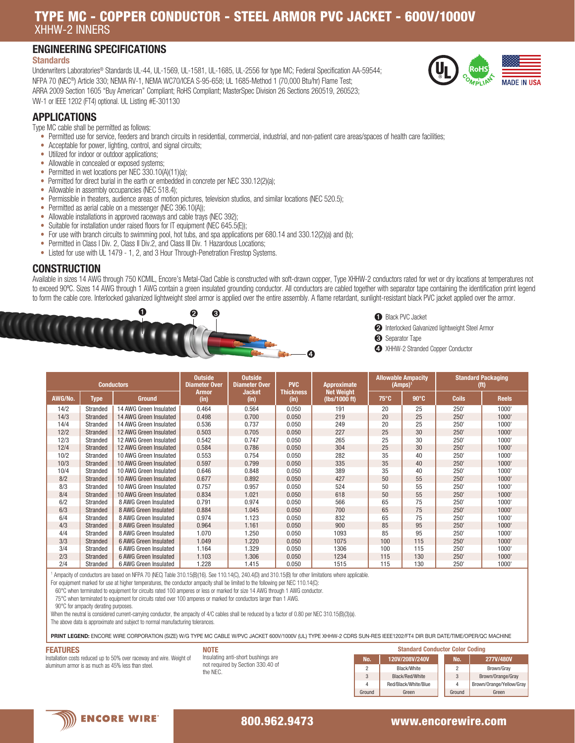# TYPE MC - COPPER CONDUCTOR - STEEL ARMOR PVC JACKET - 600V/1000V XHHW-2 INNERS

# ENGINEERING SPECIFICATIONS

### **Standards**

Underwriters Laboratories® Standards UL-44, UL-1569, UL-1581, UL-1685, UL-2556 for type MC; Federal Specification AA-59544; NFPA 70 (NEC®) Article 330; NEMA RV-1, NEMA WC70/ICEA S-95-658; UL 1685-Method 1 (70,000 Btu/hr) Flame Test; ARRA 2009 Section 1605 "Buy American" Compliant; RoHS Compliant; MasterSpec Division 26 Sections 260519, 260523; VW-1 or IEEE 1202 (FT4) optional. UL Listing #E-301130



## APPLICATIONS

Type MC cable shall be permitted as follows:

- Permitted use for service, feeders and branch circuits in residential, commercial, industrial, and non-patient care areas/spaces of health care facilities;
- Acceptable for power, lighting, control, and signal circuits;
- Utilized for indoor or outdoor applications;
- Allowable in concealed or exposed systems;
- Permitted in wet locations per NEC 330.10(A)(11)(a);
- Permitted for direct burial in the earth or embedded in concrete per NEC 330.12(2)(a);
- Allowable in assembly occupancies (NEC 518.4);
- Permissible in theaters, audience areas of motion pictures, television studios, and similar locations (NEC 520.5);
- Permitted as aerial cable on a messenger (NEC 396.10(A)):
- Allowable installations in approved raceways and cable trays (NEC 392);
- Suitable for installation under raised floors for IT equipment (NEC 645.5(E));
- For use with branch circuits to swimming pool, hot tubs, and spa applications per 680.14 and 330.12(2)(a) and (b);
- Permitted in Class I Div. 2, Class II Div.2, and Class III Div. 1 Hazardous Locations;
- Listed for use with UL 1479 1, 2, and 3 Hour Through-Penetration Firestop Systems.

### **CONSTRUCTION**

Available in sizes 14 AWG through 750 KCMIL, Encore's Metal-Clad Cable is constructed with soft-drawn copper, Type XHHW-2 conductors rated for wet or dry locations at temperatures not to exceed 90°C. Sizes 14 AWG through 1 AWG contain a green insulated grounding conductor. All conductors are cabled together with separator tape containing the identification print legend to form the cable core. Interlocked galvanized lightweight steel armor is applied over the entire assembly. A flame retardant, sunlight-resistant black PVC jacket applied over the armor.





- ➋ Interlocked Galvanized lightweight Steel Armor
- ➌ Separator Tape
- ➍ XHHW-2 Stranded Copper Conductor

| <b>Conductors</b> |                 |                        | <b>Outside</b><br><b>Outside</b><br><b>Diameter Over</b><br><b>Diameter Over</b> |                | <b>PVC</b>               | Approximate                        | <b>Allowable Ampacity</b><br>(Amps) <sup>1</sup> |              | <b>Standard Packaging</b><br>(ft) |              |
|-------------------|-----------------|------------------------|----------------------------------------------------------------------------------|----------------|--------------------------|------------------------------------|--------------------------------------------------|--------------|-----------------------------------|--------------|
| AWG/No.           | <b>Type</b>     | <b>Ground</b>          | Armor<br>(in)                                                                    | Jacket<br>(in) | <b>Thickness</b><br>(in) | <b>Net Weight</b><br>(lbs/1000 ft) | $75^{\circ}$ C                                   | $90^\circ C$ | <b>Coils</b>                      | <b>Reels</b> |
| 14/2              | Stranded        | 14 AWG Green Insulated | 0.464                                                                            | 0.564          | 0.050                    | 191                                | 20                                               | 25           | 250'                              | 1000'        |
| 14/3              | Stranded        | 14 AWG Green Insulated | 0.498                                                                            | 0.700          | 0.050                    | 219                                | 20                                               | 25           | 250'                              | 1000'        |
| 14/4              | Stranded        | 14 AWG Green Insulated | 0.536                                                                            | 0.737          | 0.050                    | 249                                | 20                                               | 25           | 250'                              | 1000'        |
| 12/2              | Stranded        | 12 AWG Green Insulated | 0.503                                                                            | 0.705          | 0.050                    | 227                                | 25                                               | 30           | 250'                              | 1000'        |
| 12/3              | Stranded        | 12 AWG Green Insulated | 0.542                                                                            | 0.747          | 0.050                    | 265                                | 25                                               | 30           | 250'                              | 1000'        |
| 12/4              | Stranded        | 12 AWG Green Insulated | 0.584                                                                            | 0.786          | 0.050                    | 304                                | 25                                               | 30           | 250'                              | 1000'        |
| 10/2              | Stranded        | 10 AWG Green Insulated | 0.553                                                                            | 0.754          | 0.050                    | 282                                | 35                                               | 40           | 250'                              | 1000'        |
| 10/3              | <b>Stranded</b> | 10 AWG Green Insulated | 0.597                                                                            | 0.799          | 0.050                    | 335                                | 35                                               | 40           | 250'                              | 1000'        |
| 10/4              | Stranded        | 10 AWG Green Insulated | 0.646                                                                            | 0.848          | 0.050                    | 389                                | 35                                               | 40           | 250'                              | 1000'        |
| 8/2               | Stranded        | 10 AWG Green Insulated | 0.677                                                                            | 0.892          | 0.050                    | 427                                | 50                                               | 55           | 250'                              | 1000'        |
| 8/3               | Stranded        | 10 AWG Green Insulated | 0.757                                                                            | 0.957          | 0.050                    | 524                                | 50                                               | 55           | 250'                              | 1000'        |
| 8/4               | Stranded        | 10 AWG Green Insulated | 0.834                                                                            | 1.021          | 0.050                    | 618                                | 50                                               | 55           | 250'                              | 1000'        |
| 6/2               | Stranded        | 8 AWG Green Insulated  | 0.791                                                                            | 0.974          | 0.050                    | 566                                | 65                                               | 75           | 250'                              | 1000'        |
| 6/3               | <b>Stranded</b> | 8 AWG Green Insulated  | 0.884                                                                            | 1.045          | 0.050                    | 700                                | 65                                               | 75           | 250'                              | 1000'        |
| 6/4               | Stranded        | 8 AWG Green Insulated  | 0.974                                                                            | 1.123          | 0.050                    | 832                                | 65                                               | 75           | 250'                              | 1000'        |
| 4/3               | <b>Stranded</b> | 8 AWG Green Insulated  | 0.964                                                                            | 1.161          | 0.050                    | 900                                | 85                                               | 95           | 250'                              | 1000'        |
| 4/4               | Stranded        | 8 AWG Green Insulated  | 1.070                                                                            | 1.250          | 0.050                    | 1093                               | 85                                               | 95           | 250'                              | 1000'        |
| 3/3               | <b>Stranded</b> | 6 AWG Green Insulated  | 1.049                                                                            | 1.220          | 0.050                    | 1075                               | 100                                              | 115          | 250'                              | 1000'        |
| 3/4               | Stranded        | 6 AWG Green Insulated  | 1.164                                                                            | 1.329          | 0.050                    | 1306                               | 100                                              | 115          | 250'                              | 1000'        |
| 2/3               | Stranded        | 6 AWG Green Insulated  | 1.103                                                                            | 1.306          | 0.050                    | 1234                               | 115                                              | 130          | 250'                              | 1000'        |
| 2/4               | Stranded        | 6 AWG Green Insulated  | 1.228                                                                            | 1.415          | 0.050                    | 1515                               | 115                                              | 130          | 250'                              | 1000'        |

1 Ampacity of conductors are based on NFPA 70 (NEC) Table 310.15(B)(16). See 110.14(C), 240.4(D) and 310.15(B) for other limitations where applicable.

**NOTE** 

For equipment marked for use at higher temperatures, the conductor ampacity shall be limited to the following per NEC 110.14(C):

60°C when terminated to equipment for circuits rated 100 amperes or less or marked for size 14 AWG through 1 AWG conductor.

75°C when terminated to equipment for circuits rated over 100 amperes or marked for conductors larger than 1 AWG.

90°C for ampacity derating purposes.

When the neutral is considered current-carrying conductor, the ampacity of 4/C cables shall be reduced by a factor of 0.80 per NEC 310.15(B)(3)(a).

The above data is approximate and subject to normal manufacturing tolerances.

PRINT LEGEND: ENCORE WIRE CORPORATION (SIZE) W/G TYPE MC CABLE W/PVC JACKET 600V/1000V (UL) TYPE XHHW-2 CDRS SUN-RES IEEE1202/FT4 DIR BUR DATE/TIME/OPER/QC MACHINE

#### **FFATURES**

Installation costs reduced up to 50% over raceway and wire. Weight of aluminum armor is as much as 45% less than steel.

| Insulating anti-short bushings are |
|------------------------------------|
| not required by Section 330.40 of  |
| the NFC                            |

| <b>Standard Conductor Color Coding</b> |                 |  |        |                          |  |  |  |
|----------------------------------------|-----------------|--|--------|--------------------------|--|--|--|
| No.                                    | 120V/208V/240V  |  | No.    | 277V/480V                |  |  |  |
| 2                                      | Black/White     |  | 2      | Brown/Gray               |  |  |  |
| 3                                      | Black/Red/White |  | 3      | Brown/Orange/Gray        |  |  |  |
| Red/Black/White/Blue<br>4              |                 |  | 4      | Brown/Orange/Yellow/Gray |  |  |  |
| Ground<br>Green                        |                 |  | Ground | Green                    |  |  |  |



## 800.962.9473 www.encorewire.com